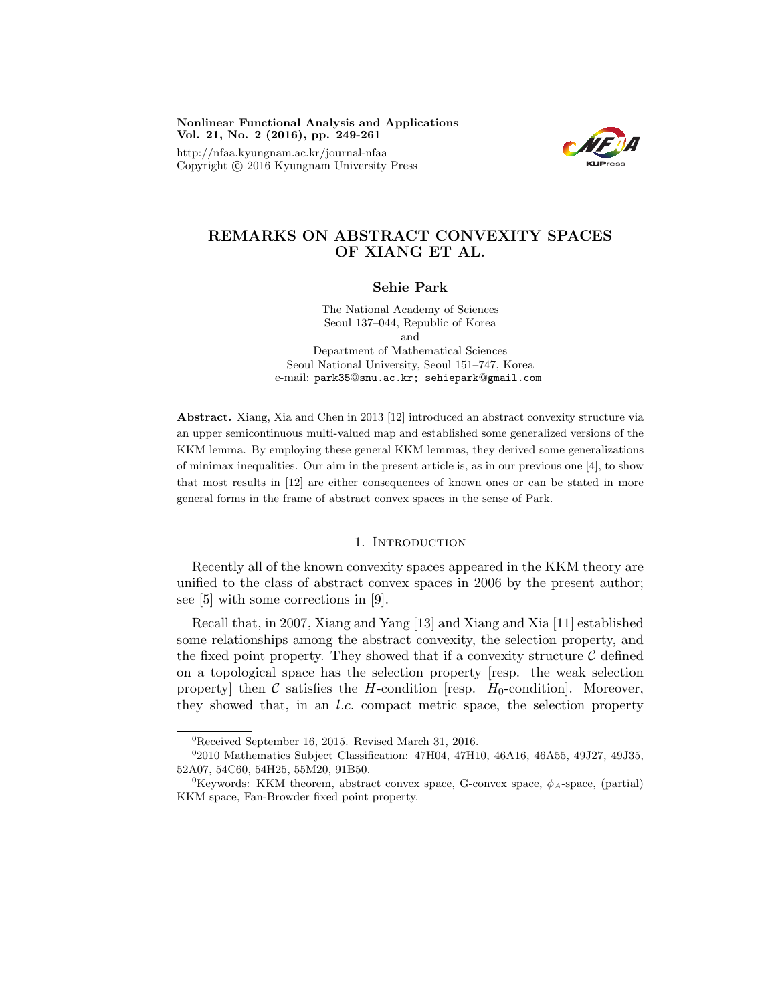Nonlinear Functional Analysis and Applications Vol. 21, No. 2 (2016), pp. 249-261

http://nfaa.kyungnam.ac.kr/journal-nfaa Copyright  $\odot$  2016 Kyungnam University Press



# REMARKS ON ABSTRACT CONVEXITY SPACES OF XIANG ET AL.

#### Sehie Park

The National Academy of Sciences Seoul 137–044, Republic of Korea and Department of Mathematical Sciences Seoul National University, Seoul 151–747, Korea e-mail: park35@snu.ac.kr; sehiepark@gmail.com

Abstract. Xiang, Xia and Chen in 2013 [12] introduced an abstract convexity structure via an upper semicontinuous multi-valued map and established some generalized versions of the KKM lemma. By employing these general KKM lemmas, they derived some generalizations of minimax inequalities. Our aim in the present article is, as in our previous one [4], to show that most results in [12] are either consequences of known ones or can be stated in more general forms in the frame of abstract convex spaces in the sense of Park.

### 1. INTRODUCTION

Recently all of the known convexity spaces appeared in the KKM theory are unified to the class of abstract convex spaces in 2006 by the present author; see [5] with some corrections in [9].

Recall that, in 2007, Xiang and Yang [13] and Xiang and Xia [11] established some relationships among the abstract convexity, the selection property, and the fixed point property. They showed that if a convexity structure  $\mathcal C$  defined on a topological space has the selection property [resp. the weak selection property] then  $\mathcal C$  satisfies the H-condition [resp.  $H_0$ -condition]. Moreover, they showed that, in an l.c. compact metric space, the selection property

<sup>0</sup>Received September 16, 2015. Revised March 31, 2016.

<sup>02010</sup> Mathematics Subject Classification: 47H04, 47H10, 46A16, 46A55, 49J27, 49J35, 52A07, 54C60, 54H25, 55M20, 91B50.

 ${}^{0}$ Keywords: KKM theorem, abstract convex space, G-convex space,  $\phi_A$ -space, (partial) KKM space, Fan-Browder fixed point property.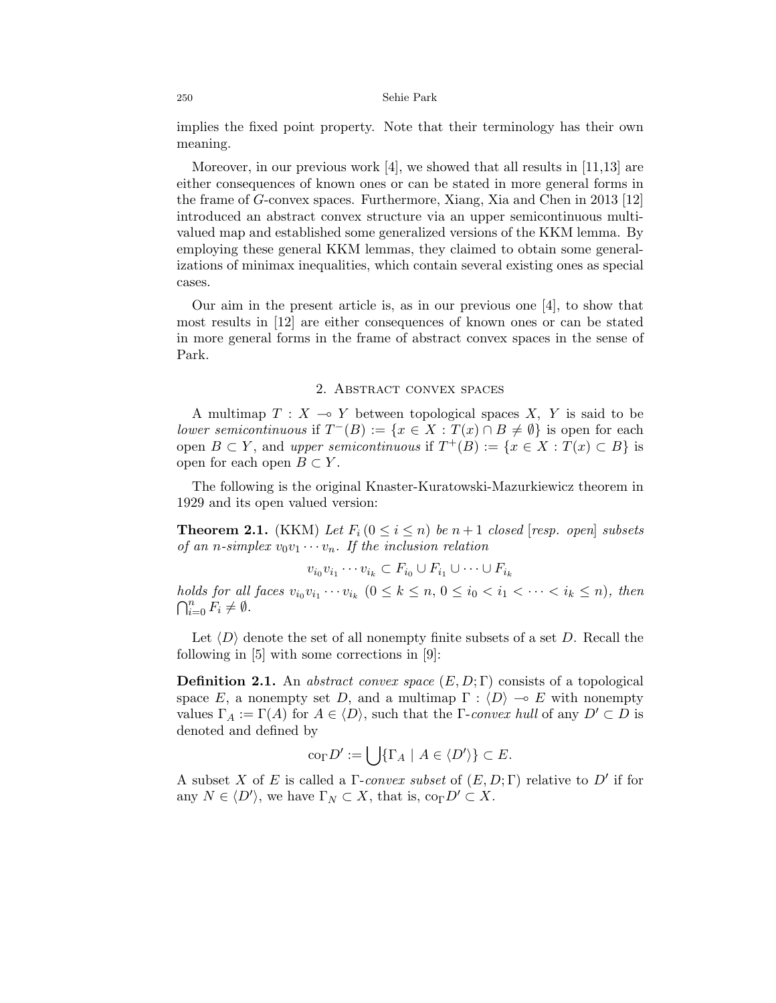implies the fixed point property. Note that their terminology has their own meaning.

Moreover, in our previous work  $[4]$ , we showed that all results in  $[11,13]$  are either consequences of known ones or can be stated in more general forms in the frame of G-convex spaces. Furthermore, Xiang, Xia and Chen in 2013 [12] introduced an abstract convex structure via an upper semicontinuous multivalued map and established some generalized versions of the KKM lemma. By employing these general KKM lemmas, they claimed to obtain some generalizations of minimax inequalities, which contain several existing ones as special cases.

Our aim in the present article is, as in our previous one [4], to show that most results in [12] are either consequences of known ones or can be stated in more general forms in the frame of abstract convex spaces in the sense of Park.

### 2. Abstract convex spaces

A multimap  $T : X \longrightarrow Y$  between topological spaces X, Y is said to be lower semicontinuous if  $T^{-}(B) := \{x \in X : T(x) \cap B \neq \emptyset\}$  is open for each open  $B \subset Y$ , and upper semicontinuous if  $T^+(B) := \{x \in X : T(x) \subset B\}$  is open for each open  $B \subset Y$ .

The following is the original Knaster-Kuratowski-Mazurkiewicz theorem in 1929 and its open valued version:

**Theorem 2.1.** (KKM) Let  $F_i$  ( $0 \leq i \leq n$ ) be  $n+1$  closed [resp. open] subsets of an n-simplex  $v_0v_1 \cdots v_n$ . If the inclusion relation

$$
v_{i_0}v_{i_1}\cdots v_{i_k}\subset F_{i_0}\cup F_{i_1}\cup\cdots\cup F_{i_k}
$$

holds for all faces  $v_{i_0}v_{i_1}\cdots v_{i_k}$   $(0 \le k \le n, 0 \le i_0 < i_1 < \cdots < i_k \le n)$ , then  $\bigcap_{i=0}^n \overline{F}_i \neq \emptyset$ .

Let  $\langle D \rangle$  denote the set of all nonempty finite subsets of a set D. Recall the following in [5] with some corrections in [9]:

**Definition 2.1.** An abstract convex space  $(E, D; \Gamma)$  consists of a topological space E, a nonempty set D, and a multimap  $\Gamma : \langle D \rangle \to E$  with nonempty values  $\Gamma_A := \Gamma(A)$  for  $A \in \langle D \rangle$ , such that the  $\Gamma$ -convex hull of any  $D' \subset D$  is denoted and defined by

$$
\operatorname{co}_{\Gamma} D' := \bigcup \{ \Gamma_A \mid A \in \langle D' \rangle \} \subset E.
$$

A subset X of E is called a  $\Gamma$ -convex subset of  $(E, D; \Gamma)$  relative to D' if for any  $N \in \langle D' \rangle$ , we have  $\Gamma_N \subset X$ , that is,  $\text{co}_{\Gamma} D' \subset X$ .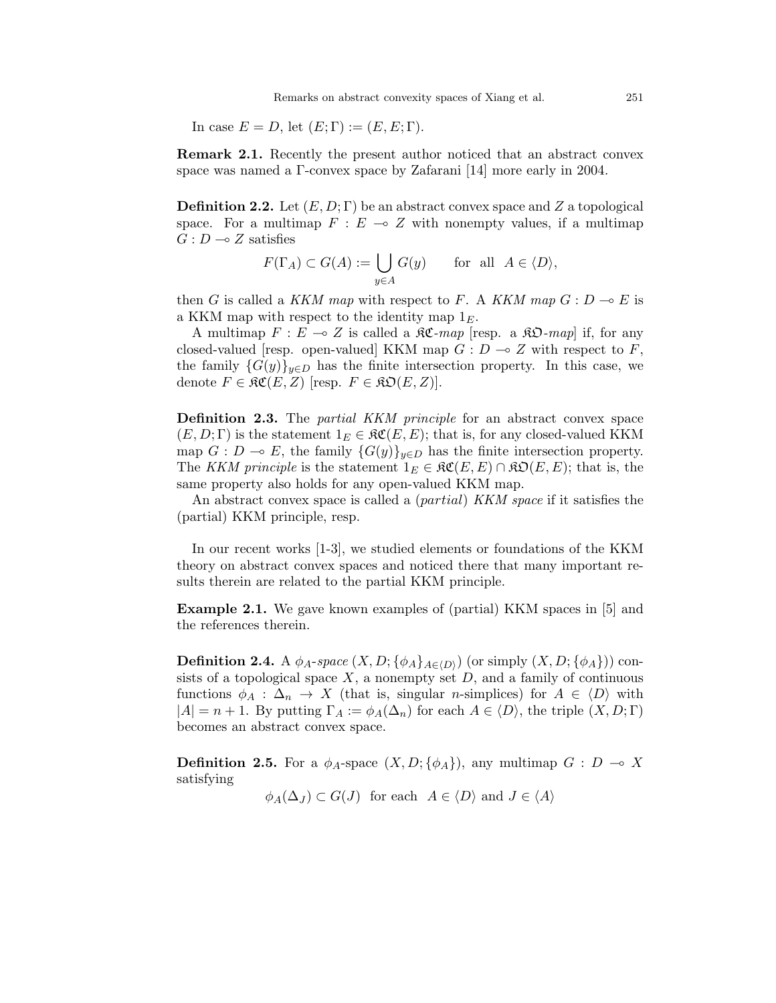Remarks on abstract convexity spaces of Xiang et al. 251

In case  $E = D$ , let  $(E; \Gamma) := (E, E; \Gamma)$ .

Remark 2.1. Recently the present author noticed that an abstract convex space was named a Γ-convex space by Zafarani [14] more early in 2004.

**Definition 2.2.** Let  $(E, D; \Gamma)$  be an abstract convex space and Z a topological space. For a multimap  $F : E \multimap Z$  with nonempty values, if a multimap  $G: D \longrightarrow Z$  satisfies

$$
F(\Gamma_A) \subset G(A) := \bigcup_{y \in A} G(y) \quad \text{for all } A \in \langle D \rangle,
$$

then G is called a KKM map with respect to F. A KKM map  $G: D \to E$  is a KKM map with respect to the identity map  $1<sub>E</sub>$ .

A multimap  $F : E \multimap Z$  is called a  $\Re \mathfrak{C}$ -map [resp. a  $\Re \mathfrak{D}$ -map] if, for any closed-valued [resp. open-valued] KKM map  $G: D \to Z$  with respect to F, the family  ${G(y)}_{y\in D}$  has the finite intersection property. In this case, we denote  $F \in \mathfrak{RC}(E, Z)$  [resp.  $F \in \mathfrak{RO}(E, Z)$ ].

**Definition 2.3.** The *partial KKM principle* for an abstract convex space  $(E, D; \Gamma)$  is the statement  $1_E \in \mathfrak{RC}(E, E)$ ; that is, for any closed-valued KKM map  $G : D \multimap E$ , the family  ${G(y)}_{y\in D}$  has the finite intersection property. The KKM principle is the statement  $1_E \in \mathfrak{RC}(E, E) \cap \mathfrak{RO}(E, E)$ ; that is, the same property also holds for any open-valued KKM map.

An abstract convex space is called a *(partial) KKM space* if it satisfies the (partial) KKM principle, resp.

In our recent works [1-3], we studied elements or foundations of the KKM theory on abstract convex spaces and noticed there that many important results therein are related to the partial KKM principle.

Example 2.1. We gave known examples of (partial) KKM spaces in [5] and the references therein.

**Definition 2.4.** A  $\phi_A$ -space  $(X, D; {\phi_A}_{A \in \langle D \rangle})$  (or simply  $(X, D; {\phi_A})$ ) consists of a topological space  $X$ , a nonempty set  $D$ , and a family of continuous functions  $\phi_A : \Delta_n \to X$  (that is, singular *n*-simplices) for  $A \in \langle D \rangle$  with  $|A| = n + 1$ . By putting  $\Gamma_A := \phi_A(\Delta_n)$  for each  $A \in \langle D \rangle$ , the triple  $(X, D; \Gamma)$ becomes an abstract convex space.

**Definition 2.5.** For a  $\phi_A$ -space  $(X, D; {\phi_A})$ , any multimap  $G : D \multimap X$ satisfying

 $\phi_A(\Delta_J) \subset G(J)$  for each  $A \in \langle D \rangle$  and  $J \in \langle A \rangle$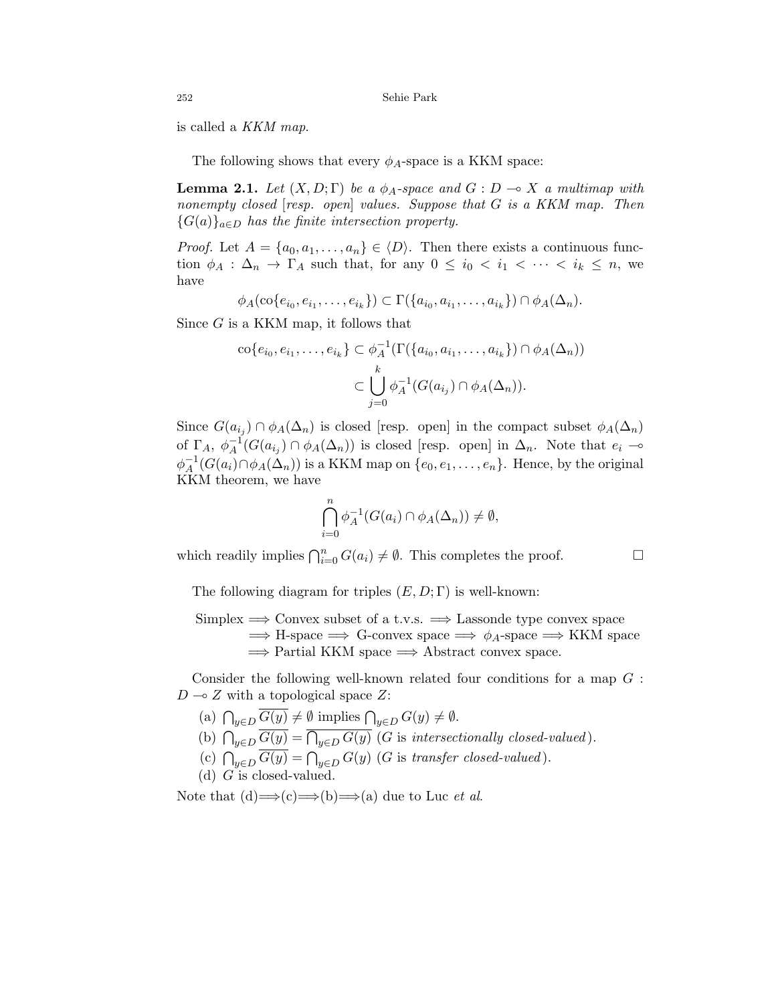is called a KKM map.

The following shows that every  $\phi_A$ -space is a KKM space:

**Lemma 2.1.** Let  $(X, D; \Gamma)$  be a  $\phi_A$ -space and  $G: D \to X$  a multimap with nonempty closed [resp. open] values. Suppose that G is a KKM map. Then  ${G(a)}_{a\in D}$  has the finite intersection property.

*Proof.* Let  $A = \{a_0, a_1, \ldots, a_n\} \in \langle D \rangle$ . Then there exists a continuous function  $\phi_A$ :  $\Delta_n \to \Gamma_A$  such that, for any  $0 \leq i_0 < i_1 < \cdots < i_k \leq n$ , we have

 $\phi_A(\text{co}\{e_{i_0}, e_{i_1}, \ldots, e_{i_k}\}) \subset \Gamma(\{a_{i_0}, a_{i_1}, \ldots, a_{i_k}\}) \cap \phi_A(\Delta_n).$ 

Since G is a KKM map, it follows that

$$
\operatorname{co}\{e_{i_0}, e_{i_1}, \dots, e_{i_k}\} \subset \phi_A^{-1}(\Gamma(\{a_{i_0}, a_{i_1}, \dots, a_{i_k}\}) \cap \phi_A(\Delta_n))
$$

$$
\subset \bigcup_{j=0}^k \phi_A^{-1}(G(a_{i_j}) \cap \phi_A(\Delta_n)).
$$

Since  $G(a_{i_j}) \cap \phi_A(\Delta_n)$  is closed [resp. open] in the compact subset  $\phi_A(\Delta_n)$ of  $\Gamma_A, \phi_A^{-1}$  $A^{-1}(G(a_{i_j}) \cap \phi_A(\Delta_n))$  is closed [resp. open] in  $\Delta_n$ . Note that  $e_i \to$  $\phi_A^{-1}$  $A^{-1}(G(a_i) \cap \phi_A(\Delta_n))$  is a KKM map on  $\{e_0, e_1, \ldots, e_n\}$ . Hence, by the original KKM theorem, we have

$$
\bigcap_{i=0}^{n} \phi_A^{-1}(G(a_i) \cap \phi_A(\Delta_n)) \neq \emptyset,
$$

which readily implies  $\bigcap_{i=0}^n G(a_i) \neq \emptyset$ . This completes the proof.

The following diagram for triples  $(E, D; \Gamma)$  is well-known:

Simplex 
$$
\implies
$$
 Convex subset of a t.v.s.  $\implies$  Lassonde type convex space  $\implies$  H-space  $\implies$  G-convex space  $\implies \phi_A$ -space  $\implies$  KKM space  $\implies$  Partial KKM space  $\implies$  Abstract convex space.

Consider the following well-known related four conditions for a map  $G$ :  $D \sim Z$  with a topological space Z:

(a)  $\bigcap_{y\in D} G(y) \neq \emptyset$  implies  $\bigcap_{y\in D} G(y) \neq \emptyset$ . (b)  $\bigcap_{y\in D} G(y) = \bigcap_{y\in D} G(y)$  (G is intersectionally closed-valued). (c)  $\bigcap_{y\in D} G(y) = \bigcap_{y\in D} G(y)$  (G is transfer closed-valued). (d)  $G$  is closed-valued.

Note that  $(d) \rightarrow (c) \rightarrow (b) \rightarrow (a)$  due to Luc *et al.*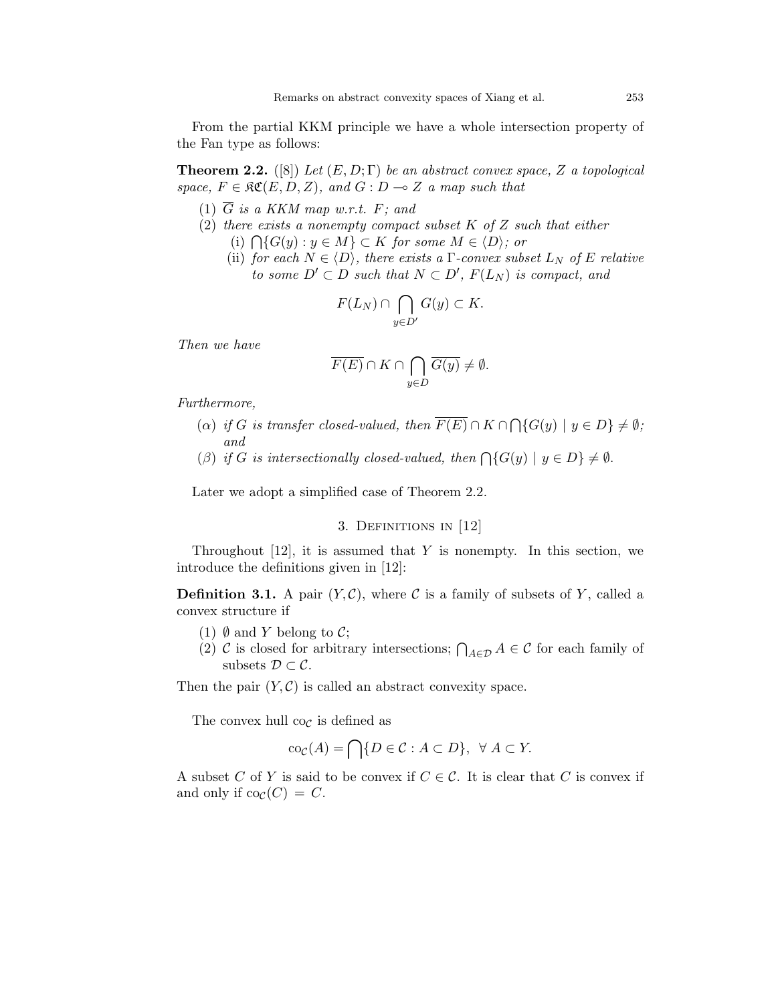From the partial KKM principle we have a whole intersection property of the Fan type as follows:

**Theorem 2.2.** ([8]) Let  $(E, D; \Gamma)$  be an abstract convex space, Z a topological space,  $F \in \mathfrak{RC}(E, D, Z)$ , and  $G : D \multimap Z$  a map such that

- (1)  $\overline{G}$  is a KKM map w.r.t. F; and
- (2) there exists a nonempty compact subset  $K$  of  $Z$  such that either (i)  $\bigcap \{G(y) : y \in M\} \subset K$  for some  $M \in \langle D \rangle$ ; or
	- (ii) for each  $N \in \langle D \rangle$ , there exists a  $\Gamma$ -convex subset  $L_N$  of E relative to some  $D' \subset D$  such that  $N \subset D'$ ,  $F(L_N)$  is compact, and

$$
F(L_N) \cap \bigcap_{y \in D'} G(y) \subset K.
$$

Then we have

$$
\overline{F(E)}\cap K\cap \bigcap_{y\in D}\overline{G(y)}\neq \emptyset.
$$

Furthermore,

- (a) if G is transfer closed-valued, then  $F(E) \cap K \cap \bigcap \{G(y) \mid y \in D\} \neq \emptyset$ ; and
- (β) if G is intersectionally closed-valued, then  $\bigcap \{G(y) \mid y \in D\} \neq \emptyset$ .

Later we adopt a simplified case of Theorem 2.2.

### 3. Definitions in [12]

Throughout [12], it is assumed that Y is nonempty. In this section, we introduce the definitions given in [12]:

**Definition 3.1.** A pair  $(Y, \mathcal{C})$ , where  $\mathcal{C}$  is a family of subsets of Y, called a convex structure if

- (1)  $\emptyset$  and Y belong to C;
- (2) C is closed for arbitrary intersections;  $\bigcap_{A\in\mathcal{D}} A \in \mathcal{C}$  for each family of subsets  $\mathcal{D} \subset \mathcal{C}$ .

Then the pair  $(Y, \mathcal{C})$  is called an abstract convexity space.

The convex hull  $\cos$  is defined as

$$
\operatorname{co}_{\mathcal{C}}(A) = \bigcap \{ D \in \mathcal{C} : A \subset D \}, \ \forall A \subset Y.
$$

A subset C of Y is said to be convex if  $C \in \mathcal{C}$ . It is clear that C is convex if and only if  $\text{co}_{\mathcal{C}}(C) = C$ .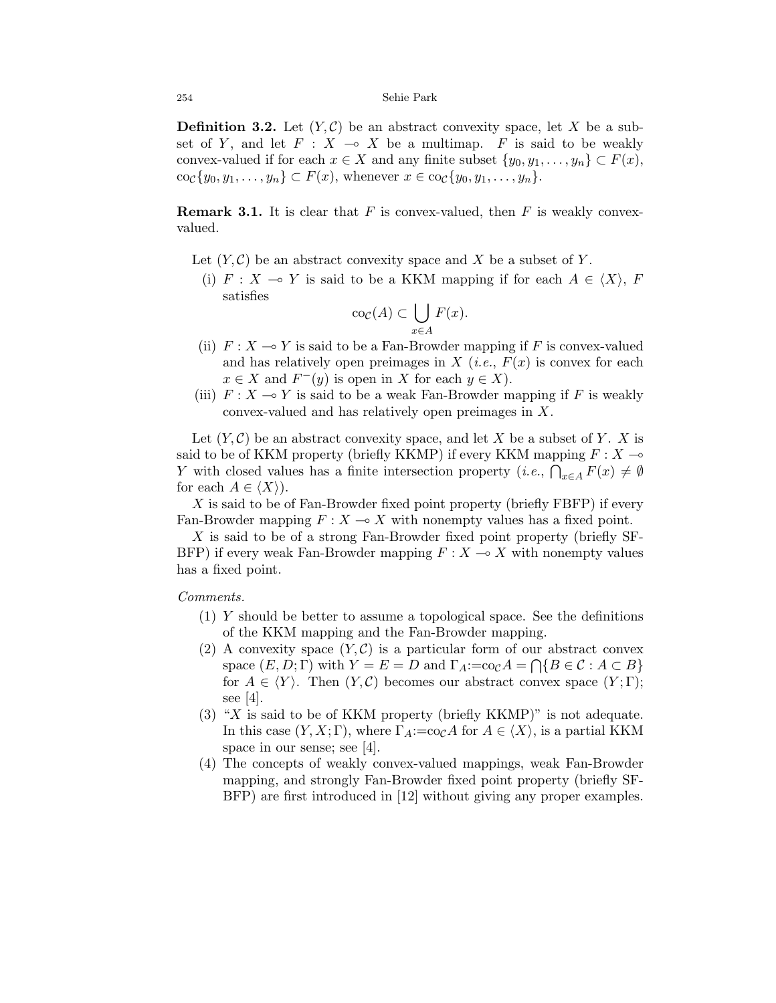**Definition 3.2.** Let  $(Y, \mathcal{C})$  be an abstract convexity space, let X be a subset of Y, and let  $F : X \multimap X$  be a multimap. F is said to be weakly convex-valued if for each  $x \in X$  and any finite subset  $\{y_0, y_1, \ldots, y_n\} \subset F(x)$ ,  $\operatorname{co}_{\mathcal{C}}\{y_0, y_1, \ldots, y_n\} \subset F(x)$ , whenever  $x \in \operatorname{co}_{\mathcal{C}}\{y_0, y_1, \ldots, y_n\}.$ 

**Remark 3.1.** It is clear that F is convex-valued, then F is weakly convexvalued.

- Let  $(Y, \mathcal{C})$  be an abstract convexity space and X be a subset of Y.
	- (i)  $F : X \multimap Y$  is said to be a KKM mapping if for each  $A \in \langle X \rangle$ , F satisfies

$$
\operatorname{co}_{\mathcal{C}}(A) \subset \bigcup_{x \in A} F(x).
$$

- (ii)  $F: X \longrightarrow Y$  is said to be a Fan-Browder mapping if F is convex-valued and has relatively open preimages in  $X$  (*i.e.*,  $F(x)$  is convex for each  $x \in X$  and  $F^-(y)$  is open in X for each  $y \in X$ ).
- (iii)  $F: X \longrightarrow Y$  is said to be a weak Fan-Browder mapping if F is weakly convex-valued and has relatively open preimages in X.

Let  $(Y, \mathcal{C})$  be an abstract convexity space, and let X be a subset of Y. X is said to be of KKM property (briefly KKMP) if every KKM mapping  $F : X \rightarrow$ Y with closed values has a finite intersection property  $(i.e., \bigcap_{x \in A} F(x) \neq \emptyset$ for each  $A \in \langle X \rangle$ ).

X is said to be of Fan-Browder fixed point property (briefly FBFP) if every Fan-Browder mapping  $F : X \longrightarrow X$  with nonempty values has a fixed point.

X is said to be of a strong Fan-Browder fixed point property (briefly SF-BFP) if every weak Fan-Browder mapping  $F : X \to X$  with nonempty values has a fixed point.

#### Comments.

- (1) Y should be better to assume a topological space. See the definitions of the KKM mapping and the Fan-Browder mapping.
- (2) A convexity space  $(Y, \mathcal{C})$  is a particular form of our abstract convex space  $(E, D; \Gamma)$  with  $Y = E = D$  and  $\Gamma_A := \text{co}_\mathcal{C} A = \bigcap \{B \in \mathcal{C} : A \subset B\}$ for  $A \in \langle Y \rangle$ . Then  $(Y, \mathcal{C})$  becomes our abstract convex space  $(Y; \Gamma)$ ; see [4].
- (3) "X is said to be of KKM property (briefly KKMP)" is not adequate. In this case  $(Y, X; \Gamma)$ , where  $\Gamma_A := \text{co}_\mathcal{C} A$  for  $A \in \langle X \rangle$ , is a partial KKM space in our sense; see [4].
- (4) The concepts of weakly convex-valued mappings, weak Fan-Browder mapping, and strongly Fan-Browder fixed point property (briefly SF-BFP) are first introduced in [12] without giving any proper examples.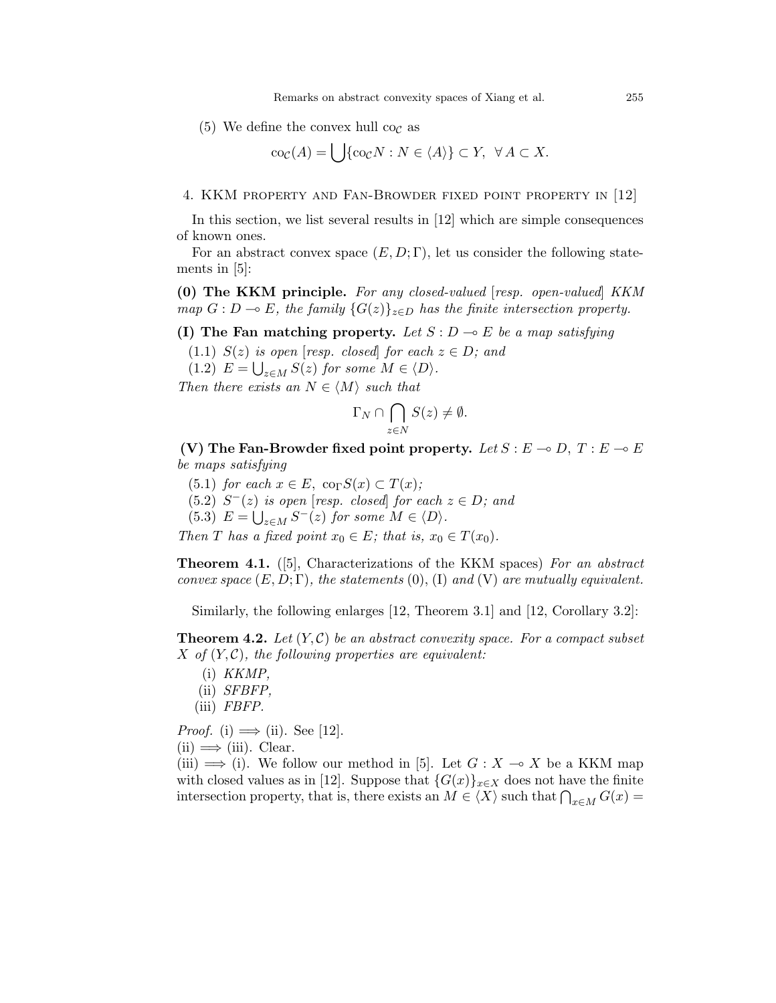(5) We define the convex hull co<sub>c</sub> as

$$
\operatorname{co}_{\mathcal{C}}(A) = \bigcup \{ \operatorname{co}_{\mathcal{C}} N : N \in \langle A \rangle \} \subset Y, \ \ \forall A \subset X.
$$

4. KKM property and Fan-Browder fixed point property in [12]

In this section, we list several results in [12] which are simple consequences of known ones.

For an abstract convex space  $(E, D; \Gamma)$ , let us consider the following statements in [5]:

(0) The KKM principle. For any closed-valued [resp. open-valued] KKM map  $G : D \to E$ , the family  ${G(z)}_{z \in D}$  has the finite intersection property.

(I) The Fan matching property. Let  $S: D \to E$  be a map satisfying

(1.1)  $S(z)$  is open [resp. closed] for each  $z \in D$ ; and

(1.2)  $E = \bigcup_{z \in M} S(z)$  for some  $M \in \langle D \rangle$ .

Then there exists an  $N \in \langle M \rangle$  such that

$$
\Gamma_N \cap \bigcap_{z \in N} S(z) \neq \emptyset.
$$

(V) The Fan-Browder fixed point property. Let  $S : E \to D$ ,  $T : E \to E$ be maps satisfying

(5.1) for each  $x \in E$ , co<sub> $\Gamma$ </sub> $S(x) \subset T(x)$ ;  $(5.2)$   $S^{-}(z)$  is open [resp. closed] for each  $z \in D$ ; and (5.3)  $E = \bigcup_{z \in M} S^{-}(z)$  for some  $M \in \langle D \rangle$ .

Then T has a fixed point  $x_0 \in E$ ; that is,  $x_0 \in T(x_0)$ .

Theorem 4.1. ([5], Characterizations of the KKM spaces) For an abstract convex space  $(E, D; \Gamma)$ , the statements  $(0), (I)$  and  $(V)$  are mutually equivalent.

Similarly, the following enlarges [12, Theorem 3.1] and [12, Corollary 3.2]:

**Theorem 4.2.** Let  $(Y, \mathcal{C})$  be an abstract convexity space. For a compact subset X of  $(Y, \mathcal{C})$ , the following properties are equivalent:

- (i) KKMP,
- (ii) SFBFP,
- (iii) FBFP.

*Proof.* (i)  $\implies$  (ii). See [12].

 $(ii) \Longrightarrow (iii)$ . Clear.

(iii)  $\implies$  (i). We follow our method in [5]. Let  $G: X \to X$  be a KKM map with closed values as in [12]. Suppose that  $\{G(x)\}_{x\in X}$  does not have the finite intersection property, that is, there exists an  $M \in \langle X \rangle$  such that  $\bigcap_{x \in M} G(x) =$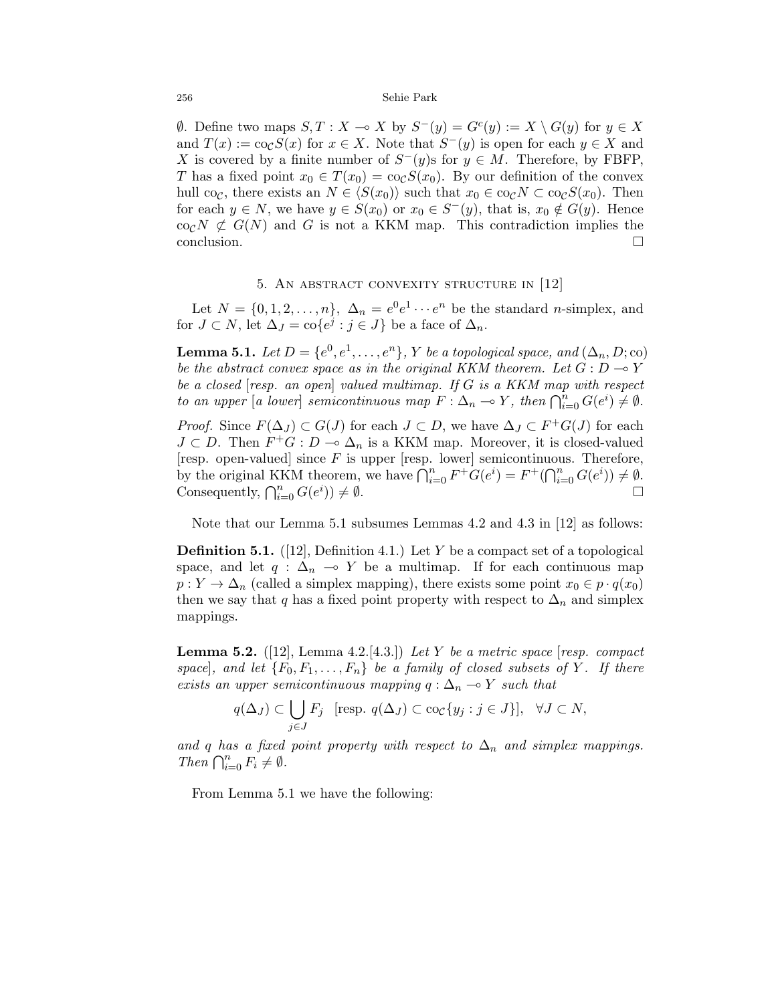$\emptyset$ . Define two maps  $S, T : X \to X$  by  $S^-(y) = G^c(y) := X \setminus G(y)$  for  $y \in X$ and  $T(x) := \cos S(x)$  for  $x \in X$ . Note that  $S^{-}(y)$  is open for each  $y \in X$  and X is covered by a finite number of  $S^-(y)$ s for  $y \in M$ . Therefore, by FBFP, T has a fixed point  $x_0 \in T(x_0) = \cos(S(x_0))$ . By our definition of the convex hull co<sub>C</sub>, there exists an  $N \in \langle S(x_0) \rangle$  such that  $x_0 \in {\rm co}_\mathcal{C} N \subset {\rm co}_\mathcal{C} S(x_0)$ . Then for each  $y \in N$ , we have  $y \in S(x_0)$  or  $x_0 \in S^{-}(y)$ , that is,  $x_0 \notin G(y)$ . Hence co<sub>C</sub>N  $\not\subset G(N)$  and G is not a KKM map. This contradiction implies the conclusion.

### 5. AN ABSTRACT CONVEXITY STRUCTURE IN [12]

Let  $N = \{0, 1, 2, \ldots, n\}, \ \Delta_n = e^0 e^1 \cdots e^n$  be the standard *n*-simplex, and for  $J \subset N$ , let  $\Delta_J = \text{co}\lbrace e^j : j \in J \rbrace$  be a face of  $\Delta_n$ .

**Lemma 5.1.** Let  $D = \{e^0, e^1, \ldots, e^n\}$ , Y be a topological space, and  $(\Delta_n, D; \text{co})$ be the abstract convex space as in the original KKM theorem. Let  $G : D \rightarrow Y$ be a closed [resp. an open] valued multimap. If G is a KKM map with respect to an upper [a lower] semicontinuous map  $F : \Delta_n \to Y$ , then  $\bigcap_{i=0}^n G(e^i) \neq \emptyset$ .

*Proof.* Since  $F(\Delta_J) \subset G(J)$  for each  $J \subset D$ , we have  $\Delta_J \subset F^+G(J)$  for each  $J \subset D$ . Then  $F^+G : D \to \Delta_n$  is a KKM map. Moreover, it is closed-valued [resp. open-valued] since  $F$  is upper [resp. lower] semicontinuous. Therefore, by the original KKM theorem, we have  $\bigcap_{i=0}^{n} F^+G(e^i) = F^+(\bigcap_{i=0}^{n} G(e^i)) \neq \emptyset$ . Consequently,  $\bigcap_{i=0}^n G(e^i)$ ))  $\neq \emptyset$ .

Note that our Lemma 5.1 subsumes Lemmas 4.2 and 4.3 in [12] as follows:

**Definition 5.1.** ([12], Definition 4.1.) Let Y be a compact set of a topological space, and let  $q : \Delta_n \multimap Y$  be a multimap. If for each continuous map  $p: Y \to \Delta_n$  (called a simplex mapping), there exists some point  $x_0 \in p \cdot q(x_0)$ then we say that q has a fixed point property with respect to  $\Delta_n$  and simplex mappings.

**Lemma 5.2.** ([12], Lemma 4.2.[4.3.]) Let Y be a metric space [resp. compact space, and let  $\{F_0, F_1, \ldots, F_n\}$  be a family of closed subsets of Y. If there exists an upper semicontinuous mapping  $q : \Delta_n \multimap Y$  such that

$$
q(\Delta_J) \subset \bigcup_{j \in J} F_j \quad \text{[resp. } q(\Delta_J) \subset \text{co}_\mathcal{C}\{y_j : j \in J\}\big], \quad \forall J \subset N,
$$

and q has a fixed point property with respect to  $\Delta_n$  and simplex mappings. Then  $\bigcap_{i=0}^n F_i \neq \emptyset$ .

From Lemma 5.1 we have the following: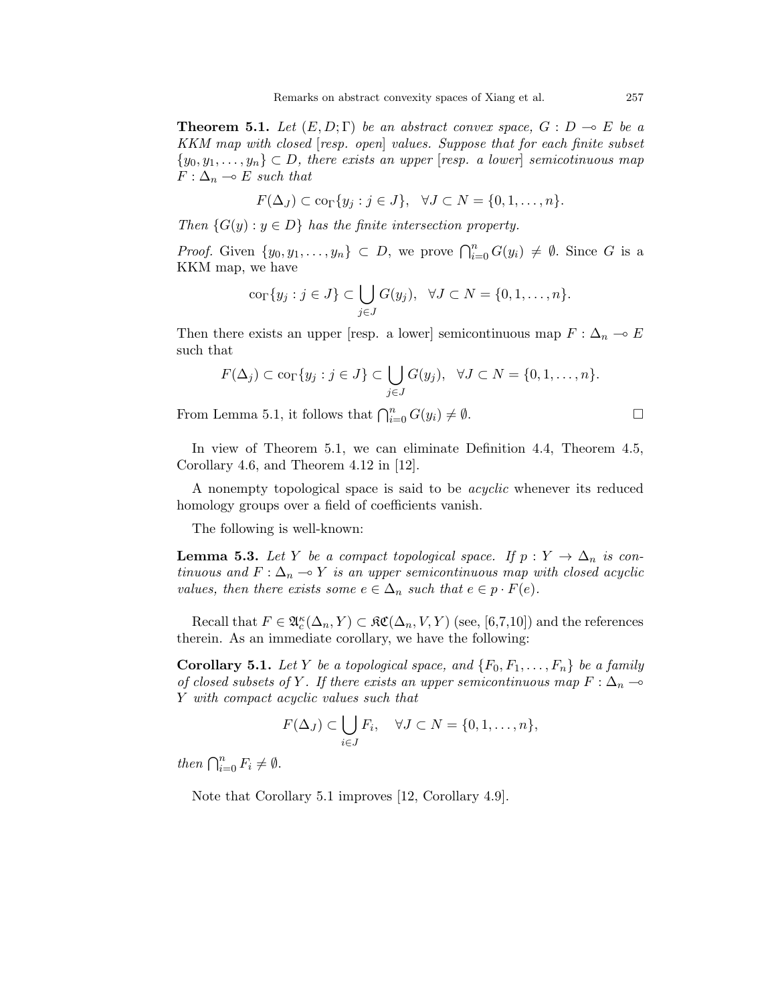**Theorem 5.1.** Let  $(E, D; \Gamma)$  be an abstract convex space,  $G : D \to E$  be a KKM map with closed [resp. open] values. Suppose that for each finite subset  $\{y_0, y_1, \ldots, y_n\} \subset D$ , there exists an upper [resp. a lower] semicotinuous map  $F: \Delta_n \multimap E$  such that

$$
F(\Delta_J) \subset \text{co}_{\Gamma}\{y_j : j \in J\}, \quad \forall J \subset N = \{0, 1, \dots, n\}.
$$

Then  $\{G(y): y \in D\}$  has the finite intersection property.

*Proof.* Given  $\{y_0, y_1, \ldots, y_n\} \subset D$ , we prove  $\bigcap_{i=0}^n G(y_i) \neq \emptyset$ . Since G is a KKM map, we have

$$
\operatorname{co}_{\Gamma}\{y_j : j \in J\} \subset \bigcup_{j \in J} G(y_j), \ \ \forall J \subset N = \{0, 1, \dots, n\}.
$$

Then there exists an upper [resp. a lower] semicontinuous map  $F : \Delta_n \to E$ such that

$$
F(\Delta_j) \subset \text{cor}\{y_j : j \in J\} \subset \bigcup_{j \in J} G(y_j), \ \ \forall J \subset N = \{0, 1, \dots, n\}.
$$

From Lemma 5.1, it follows that  $\bigcap_{i=0}^n G(y_i) \neq \emptyset$ .

In view of Theorem 5.1, we can eliminate Definition 4.4, Theorem 4.5, Corollary 4.6, and Theorem 4.12 in [12].

A nonempty topological space is said to be acyclic whenever its reduced homology groups over a field of coefficients vanish.

The following is well-known:

**Lemma 5.3.** Let Y be a compact topological space. If  $p: Y \to \Delta_n$  is continuous and  $F: \Delta_n \to Y$  is an upper semicontinuous map with closed acyclic values, then there exists some  $e \in \Delta_n$  such that  $e \in p \cdot F(e)$ .

Recall that  $F \in \mathfrak{A}_{c}^{\kappa}(\Delta_n, Y) \subset \mathfrak{RC}(\Delta_n, V, Y)$  (see, [6,7,10]) and the references therein. As an immediate corollary, we have the following:

**Corollary 5.1.** Let Y be a topological space, and  $\{F_0, F_1, \ldots, F_n\}$  be a family of closed subsets of Y. If there exists an upper semicontinuous map  $F : \Delta_n \longrightarrow$ Y with compact acyclic values such that

$$
F(\Delta_J) \subset \bigcup_{i \in J} F_i, \quad \forall J \subset N = \{0, 1, \dots, n\},\
$$

then  $\bigcap_{i=0}^n F_i \neq \emptyset$ .

Note that Corollary 5.1 improves [12, Corollary 4.9].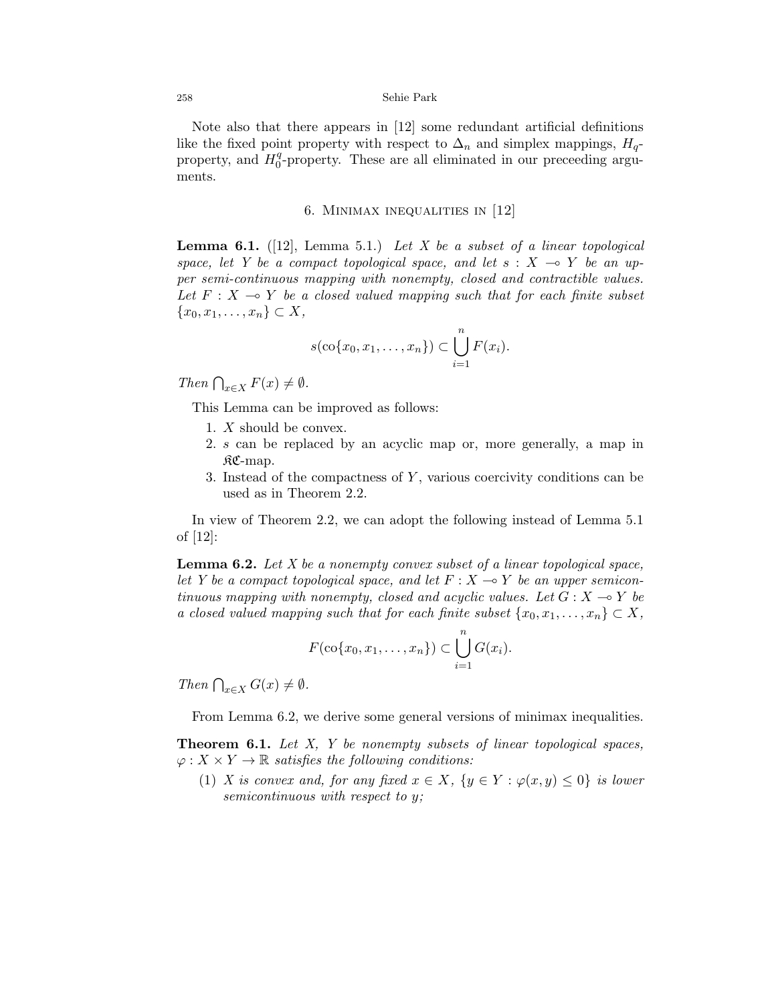Note also that there appears in [12] some redundant artificial definitions like the fixed point property with respect to  $\Delta_n$  and simplex mappings,  $H_q$ property, and  $H_0^q$  $_0^q$ -property. These are all eliminated in our preceeding arguments.

### 6. Minimax inequalities in [12]

**Lemma 6.1.** ([12], Lemma 5.1.) Let X be a subset of a linear topological space, let Y be a compact topological space, and let  $s : X \multimap Y$  be an upper semi-continuous mapping with nonempty, closed and contractible values. Let  $F : X \rightarrow Y$  be a closed valued mapping such that for each finite subset  ${x_0, x_1, \ldots, x_n} \subset X$ ,

$$
s(\operatorname{co}\{x_0,x_1,\ldots,x_n\}) \subset \bigcup_{i=1}^n F(x_i).
$$

Then  $\bigcap_{x\in X} F(x) \neq \emptyset$ .

This Lemma can be improved as follows:

- 1. X should be convex.
- 2. s can be replaced by an acyclic map or, more generally, a map in  $R\mathfrak{C}$ -map.
- 3. Instead of the compactness of  $Y$ , various coercivity conditions can be used as in Theorem 2.2.

In view of Theorem 2.2, we can adopt the following instead of Lemma 5.1 of [12]:

**Lemma 6.2.** Let  $X$  be a nonempty convex subset of a linear topological space, let Y be a compact topological space, and let  $F : X \rightarrow Y$  be an upper semicontinuous mapping with nonempty, closed and acyclic values. Let  $G : X \rightarrow Y$  be a closed valued mapping such that for each finite subset  $\{x_0, x_1, \ldots, x_n\} \subset X$ ,

$$
F(\operatorname{co}\{x_0,x_1,\ldots,x_n\})\subset \bigcup_{i=1}^n G(x_i).
$$

Then  $\bigcap_{x\in X} G(x) \neq \emptyset$ .

From Lemma 6.2, we derive some general versions of minimax inequalities.

Theorem 6.1. Let X, Y be nonempty subsets of linear topological spaces,  $\varphi: X \times Y \to \mathbb{R}$  satisfies the following conditions:

(1) X is convex and, for any fixed  $x \in X$ ,  $\{y \in Y : \varphi(x, y) \leq 0\}$  is lower semicontinuous with respect to y;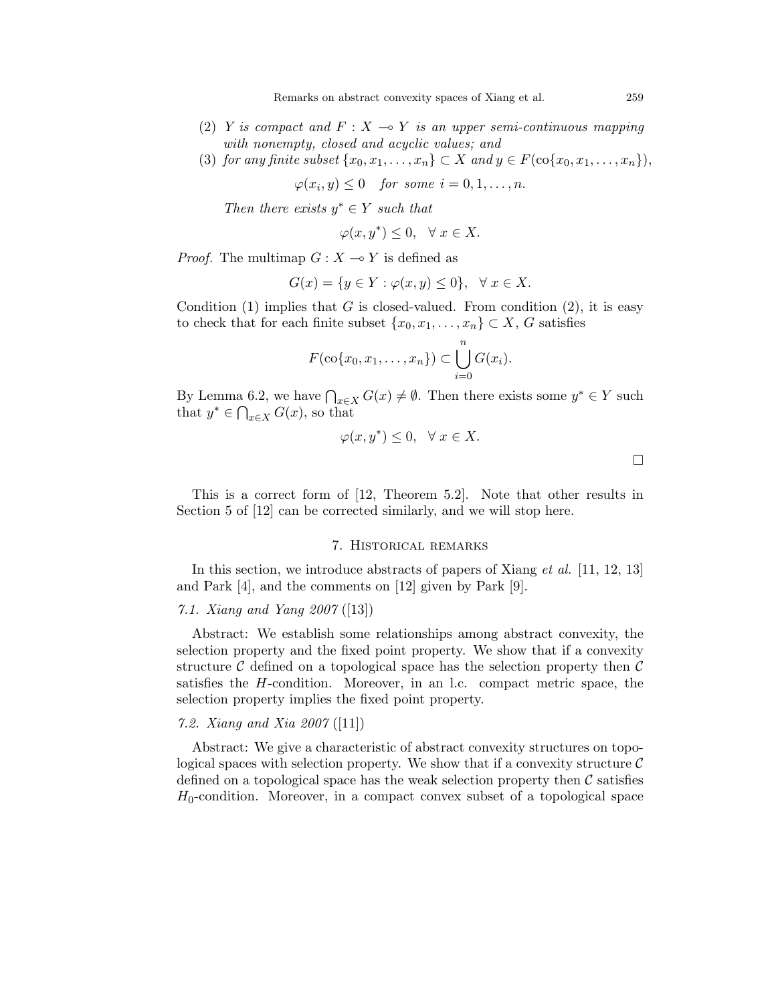- (2) Y is compact and  $F: X \to Y$  is an upper semi-continuous mapping with nonempty, closed and acyclic values; and
- (3) for any finite subset  $\{x_0, x_1, \ldots, x_n\} \subset X$  and  $y \in F(\text{co}\{x_0, x_1, \ldots, x_n\}),$

$$
\varphi(x_i, y) \le 0 \quad \text{for some } i = 0, 1, \dots, n.
$$

Then there exists  $y^* \in Y$  such that

$$
\varphi(x, y^*) \le 0, \quad \forall \ x \in X.
$$

*Proof.* The multimap  $G: X \rightarrow Y$  is defined as

$$
G(x) = \{ y \in Y : \varphi(x, y) \le 0 \}, \quad \forall x \in X.
$$

Condition (1) implies that G is closed-valued. From condition  $(2)$ , it is easy to check that for each finite subset  $\{x_0, x_1, \ldots, x_n\} \subset X$ , G satisfies

$$
F(\operatorname{co}\{x_0,x_1,\ldots,x_n\}) \subset \bigcup_{i=0}^n G(x_i).
$$

By Lemma 6.2, we have  $\bigcap_{x\in X} G(x) \neq \emptyset$ . Then there exists some  $y^* \in Y$  such that  $y^* \in \bigcap_{x \in X} G(x)$ , so that

$$
\varphi(x, y^*) \le 0, \quad \forall \ x \in X.
$$

This is a correct form of [12, Theorem 5.2]. Note that other results in Section 5 of [12] can be corrected similarly, and we will stop here.

### 7. Historical remarks

In this section, we introduce abstracts of papers of Xiang *et al.* [11, 12, 13] and Park [4], and the comments on [12] given by Park [9].

### 7.1. Xiang and Yang 2007 ([13])

Abstract: We establish some relationships among abstract convexity, the selection property and the fixed point property. We show that if a convexity structure  $\mathcal C$  defined on a topological space has the selection property then  $\mathcal C$ satisfies the H-condition. Moreover, in an l.c. compact metric space, the selection property implies the fixed point property.

### 7.2. Xiang and Xia 2007 ([11])

Abstract: We give a characteristic of abstract convexity structures on topological spaces with selection property. We show that if a convexity structure  $\mathcal C$ defined on a topological space has the weak selection property then  $\mathcal C$  satisfies  $H_0$ -condition. Moreover, in a compact convex subset of a topological space

 $\Box$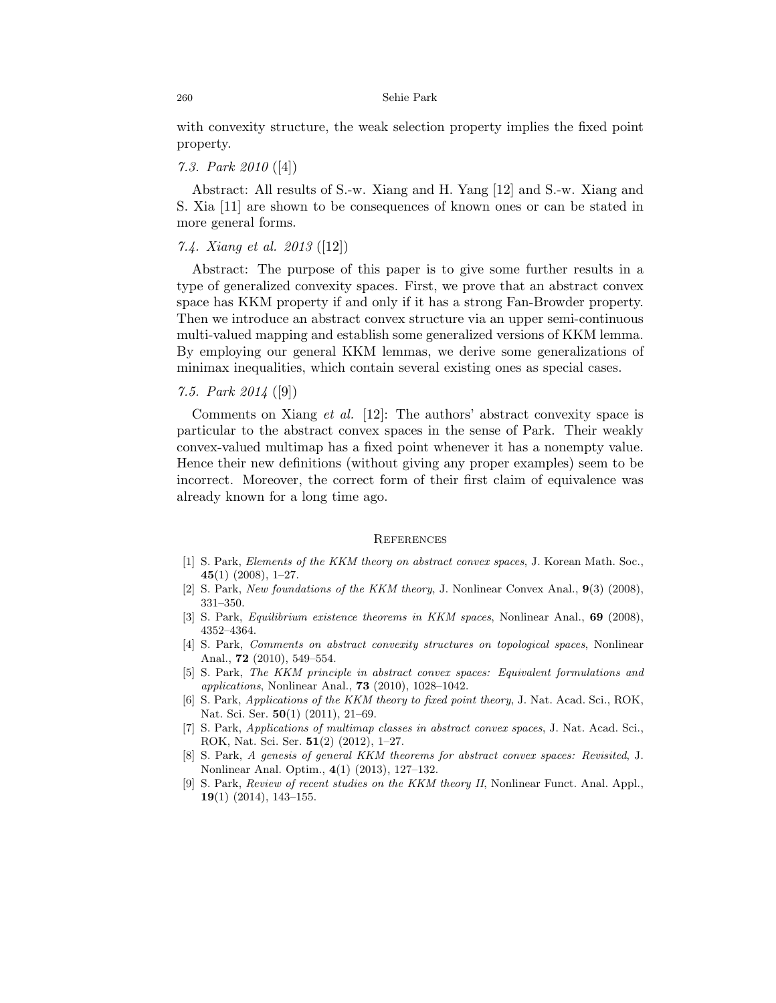with convexity structure, the weak selection property implies the fixed point property.

## 7.3. Park 2010 ([4])

Abstract: All results of S.-w. Xiang and H. Yang [12] and S.-w. Xiang and S. Xia [11] are shown to be consequences of known ones or can be stated in more general forms.

### 7.4. Xiang et al. 2013 ([12])

Abstract: The purpose of this paper is to give some further results in a type of generalized convexity spaces. First, we prove that an abstract convex space has KKM property if and only if it has a strong Fan-Browder property. Then we introduce an abstract convex structure via an upper semi-continuous multi-valued mapping and establish some generalized versions of KKM lemma. By employing our general KKM lemmas, we derive some generalizations of minimax inequalities, which contain several existing ones as special cases.

### 7.5. Park 2014 ([9])

Comments on Xiang *et al.* [12]: The authors' abstract convexity space is particular to the abstract convex spaces in the sense of Park. Their weakly convex-valued multimap has a fixed point whenever it has a nonempty value. Hence their new definitions (without giving any proper examples) seem to be incorrect. Moreover, the correct form of their first claim of equivalence was already known for a long time ago.

#### **REFERENCES**

- [1] S. Park, Elements of the KKM theory on abstract convex spaces, J. Korean Math. Soc.,  $45(1)$  (2008), 1–27.
- [2] S. Park, New foundations of the KKM theory, J. Nonlinear Convex Anal., 9(3) (2008), 331–350.
- [3] S. Park, Equilibrium existence theorems in KKM spaces, Nonlinear Anal., 69 (2008), 4352–4364.
- [4] S. Park, Comments on abstract convexity structures on topological spaces, Nonlinear Anal., 72 (2010), 549–554.
- [5] S. Park, The KKM principle in abstract convex spaces: Equivalent formulations and applications, Nonlinear Anal., 73 (2010), 1028–1042.
- [6] S. Park, Applications of the KKM theory to fixed point theory, J. Nat. Acad. Sci., ROK, Nat. Sci. Ser. **50**(1) (2011), 21–69.
- [7] S. Park, Applications of multimap classes in abstract convex spaces, J. Nat. Acad. Sci., ROK, Nat. Sci. Ser. 51(2) (2012), 1–27.
- [8] S. Park, A genesis of general KKM theorems for abstract convex spaces: Revisited, J. Nonlinear Anal. Optim., 4(1) (2013), 127–132.
- [9] S. Park, Review of recent studies on the KKM theory II, Nonlinear Funct. Anal. Appl.,  $19(1)$  (2014), 143-155.